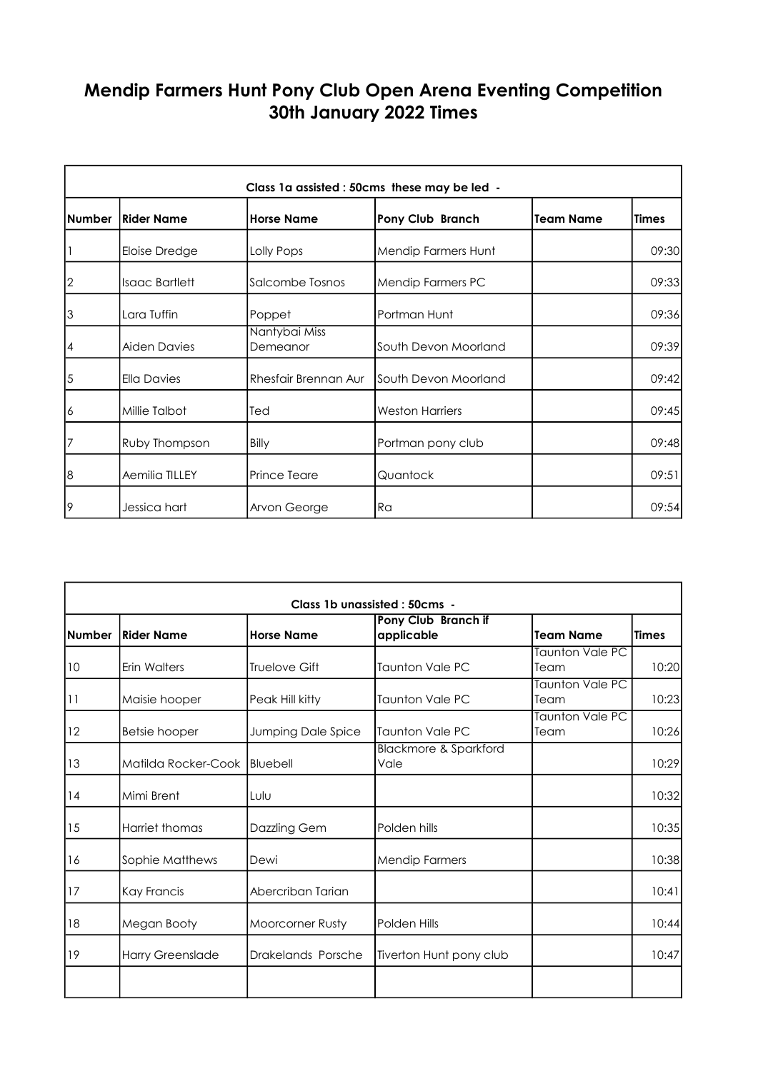## Mendip Farmers Hunt Pony Club Open Arena Eventing Competition 30th January 2022 Times

| Class 1a assisted : 50cms these may be led - |                       |                           |                         |                  |              |  |
|----------------------------------------------|-----------------------|---------------------------|-------------------------|------------------|--------------|--|
| <b>Number</b>                                | Rider Name            | <b>Horse Name</b>         | <b>Pony Club Branch</b> | <b>Team Name</b> | <b>Times</b> |  |
|                                              | Eloise Dredge         | Lolly Pops                | Mendip Farmers Hunt     |                  | 09:30        |  |
| $\overline{2}$                               | <b>Isaac Bartlett</b> | Salcombe Tosnos           | Mendip Farmers PC       |                  | 09:33        |  |
| 3                                            | Lara Tuffin           | Poppet                    | Portman Hunt            |                  | 09:36        |  |
| $\overline{4}$                               | <b>Aiden Davies</b>   | Nantybai Miss<br>Demeanor | South Devon Moorland    |                  | 09:39        |  |
| 5                                            | <b>Ella Davies</b>    | Rhesfair Brennan Aur      | South Devon Moorland    |                  | 09:42        |  |
| 16                                           | Millie Talbot         | Ted                       | <b>Weston Harriers</b>  |                  | 09:45        |  |
| 7                                            | Ruby Thompson         | Billy                     | Portman pony club       |                  | 09:48        |  |
| 8                                            | Aemilia TILLEY        | <b>Prince Teare</b>       | Quantock                |                  | 09:51        |  |
| 19                                           | Jessica hart          | Arvon George              | l Ra                    |                  | 09:54        |  |

| Class 1b unassisted : 50cms - |                              |                      |                                          |                                |              |  |
|-------------------------------|------------------------------|----------------------|------------------------------------------|--------------------------------|--------------|--|
| <b>Number</b>                 | lRider Name                  | <b>Horse Name</b>    | Pony Club Branch if<br>applicable        | <b>Team Name</b>               | <b>Times</b> |  |
| 10                            | Erin Walters                 | <b>Truelove Gift</b> | <b>Taunton Vale PC</b>                   | <b>Taunton Vale PC</b><br>Team | 10:20        |  |
| 11                            | Maisie hooper                | Peak Hill kitty      | <b>Taunton Vale PC</b>                   | <b>Taunton Vale PC</b><br>Team | 10:23        |  |
| 12                            | Betsie hooper                | Jumping Dale Spice   | <b>Taunton Vale PC</b>                   | Taunton Vale PC<br>Team        | 10:26        |  |
| 13                            | Matilda Rocker-Cook Bluebell |                      | <b>Blackmore &amp; Sparkford</b><br>Vale |                                | 10:29        |  |
| 14                            | Mimi Brent                   | Lulu                 |                                          |                                | 10:32        |  |
| 15                            | Harriet thomas               | Dazzling Gem         | Polden hills                             |                                | 10:35        |  |
| 16                            | Sophie Matthews              | Dewi                 | <b>Mendip Farmers</b>                    |                                | 10:38        |  |
| 17                            | Kay Francis                  | Abercriban Tarian    |                                          |                                | 10:41        |  |
| 18                            | Megan Booty                  | Moorcorner Rusty     | Polden Hills                             |                                | 10:44        |  |
| 19                            | <b>Harry Greenslade</b>      | Drakelands Porsche   | Tiverton Hunt pony club                  |                                | 10:47        |  |
|                               |                              |                      |                                          |                                |              |  |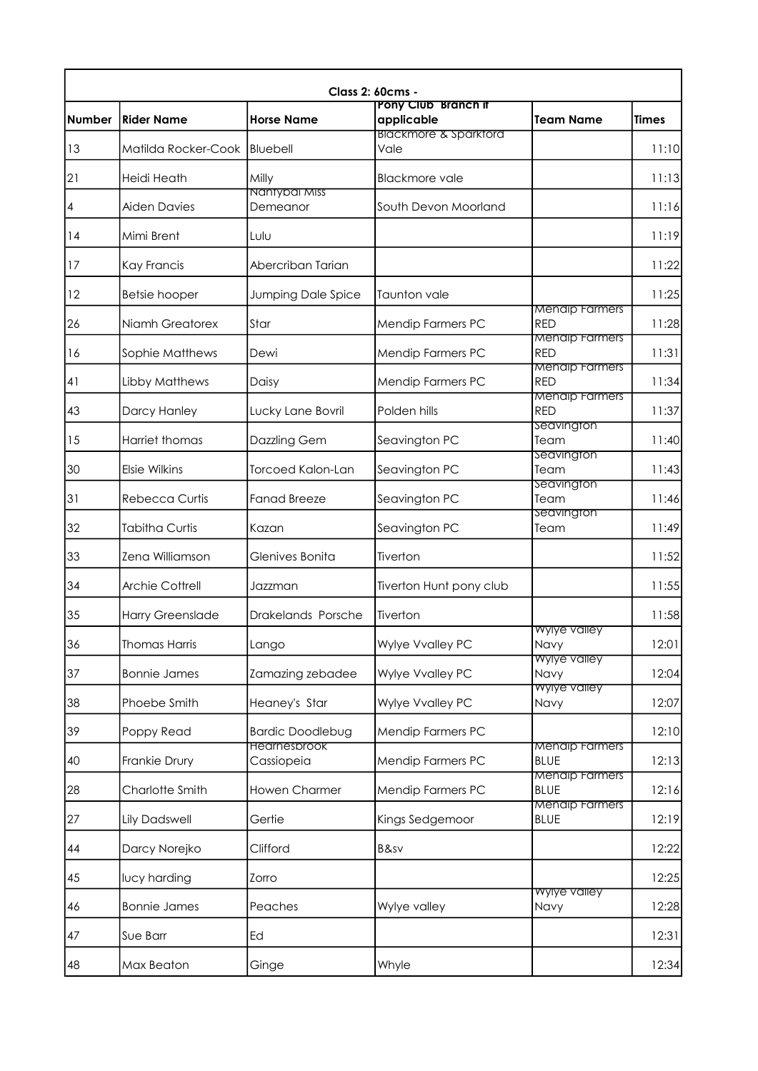|                | <b>Class 2: 60cms -</b><br>Pony Club Branch if |                                   |                                          |                                      |              |  |  |
|----------------|------------------------------------------------|-----------------------------------|------------------------------------------|--------------------------------------|--------------|--|--|
| <b>Number</b>  | <b>Rider Name</b>                              | <b>Horse Name</b>                 | applicable                               | <b>Team Name</b>                     | <b>Times</b> |  |  |
| 13             | Matilda Rocker-Cook                            | Bluebell                          | <b>Blackmore &amp; Sparktord</b><br>Vale |                                      | 11:10        |  |  |
| 2              | Heidi Heath                                    | Milly                             | <b>Blackmore vale</b>                    |                                      | 11:13        |  |  |
| $\overline{4}$ | <b>Aiden Davies</b>                            | Nantybal Miss<br>Demeanor         | South Devon Moorland                     |                                      | 11:16        |  |  |
| 14             | Mimi Brent                                     | Lulu                              |                                          |                                      | 11:19        |  |  |
| 17             | <b>Kay Francis</b>                             | Abercriban Tarian                 |                                          |                                      | 11:22        |  |  |
| 12             | <b>Betsie hooper</b>                           | Jumping Dale Spice                | <b>Taunton vale</b>                      |                                      | 11:25        |  |  |
| 26             | Niamh Greatorex                                | Star                              | <b>Mendip Farmers PC</b>                 | <b>Mendip Farmers</b><br><b>RED</b>  | 11:28        |  |  |
| 16             | Sophie Matthews                                | Dewi                              | Mendip Farmers PC                        | <b>Menalp Farmers</b><br><b>RED</b>  | 11:31        |  |  |
| 41             | Libby Matthews                                 | Daisy                             | Mendip Farmers PC                        | <b>Mendip Farmers</b><br><b>RED</b>  | 11:34        |  |  |
| 43             | Darcy Hanley                                   | Lucky Lane Bovril                 | Polden hills                             | <b>Menalp Farmers</b><br><b>RED</b>  | 11:37        |  |  |
| 15             | <b>Harriet thomas</b>                          | Dazzling Gem                      | Seavington PC                            | Seavington<br>Team                   | 11:40        |  |  |
| 30             | Elsie Wilkins                                  | <b>Torcoed Kalon-Lan</b>          | Seavington PC                            | Seavington<br>Team                   | 11:43        |  |  |
| 31             | <b>Rebecca Curtis</b>                          | <b>Fanad Breeze</b>               | Seavington PC                            | Seavington<br>Team                   | 11:46        |  |  |
| 32             | <b>Tabitha Curtis</b>                          | Kazan                             | Seavington PC                            | <b>Seavington</b><br>Team            | 11:49        |  |  |
| 33             | Zena Williamson                                | Glenives Bonita                   | Tiverton                                 |                                      | 11:52        |  |  |
| 34             | Archie Cottrell                                | Jazzman                           | Tiverton Hunt pony club                  |                                      | 11:55        |  |  |
| 35             | <b>Harry Greenslade</b>                        | Drakelands Porsche                | Tiverton                                 |                                      | 11:58        |  |  |
| 36             | <b>Thomas Harris</b>                           | Lango                             | Wylye Vvalley PC                         | Wylye valley<br>Navy                 | 12:01        |  |  |
| 37             | <b>Bonnie James</b>                            | Zamazing zebadee                  | Wylye Vvalley PC                         | Wylye valley<br>Navy                 | 12:04        |  |  |
| 38             | Phoebe Smith                                   | Heaney's Star                     | Wylye Vvalley PC                         | <b>Wylye valley</b><br>Navy          | 12:07        |  |  |
| 39             | Poppy Read                                     | <b>Bardic Doodlebug</b>           | Mendip Farmers PC                        |                                      | 12:10        |  |  |
| 40             | Frankie Drury                                  | <b>Hearnesbrook</b><br>Cassiopeia | Mendip Farmers PC                        | <b>Mendip Farmers</b><br><b>BLUE</b> | 12:13        |  |  |
| 28             | Charlotte Smith                                | Howen Charmer                     | Mendip Farmers PC                        | <b>Menalp Farmers</b><br><b>BLUE</b> | 12:16        |  |  |
| 27             | <b>Lily Dadswell</b>                           | Gertie                            | Kings Sedgemoor                          | <b>Menalp Farmers</b><br><b>BLUE</b> | 12:19        |  |  |
| 44             | Darcy Norejko                                  | Clifford                          | B&sv                                     |                                      | 12:22        |  |  |
| 45             | lucy harding                                   | Zorro                             |                                          |                                      | 12:25        |  |  |
| 46             | <b>Bonnie James</b>                            | Peaches                           | Wylye valley                             | Wylye valley<br>Navy                 | 12:28        |  |  |
| 47             | Sue Barr                                       | Ed                                |                                          |                                      | 12:31        |  |  |
| 48             | Max Beaton                                     | Ginge                             | Whyle                                    |                                      | 12:34        |  |  |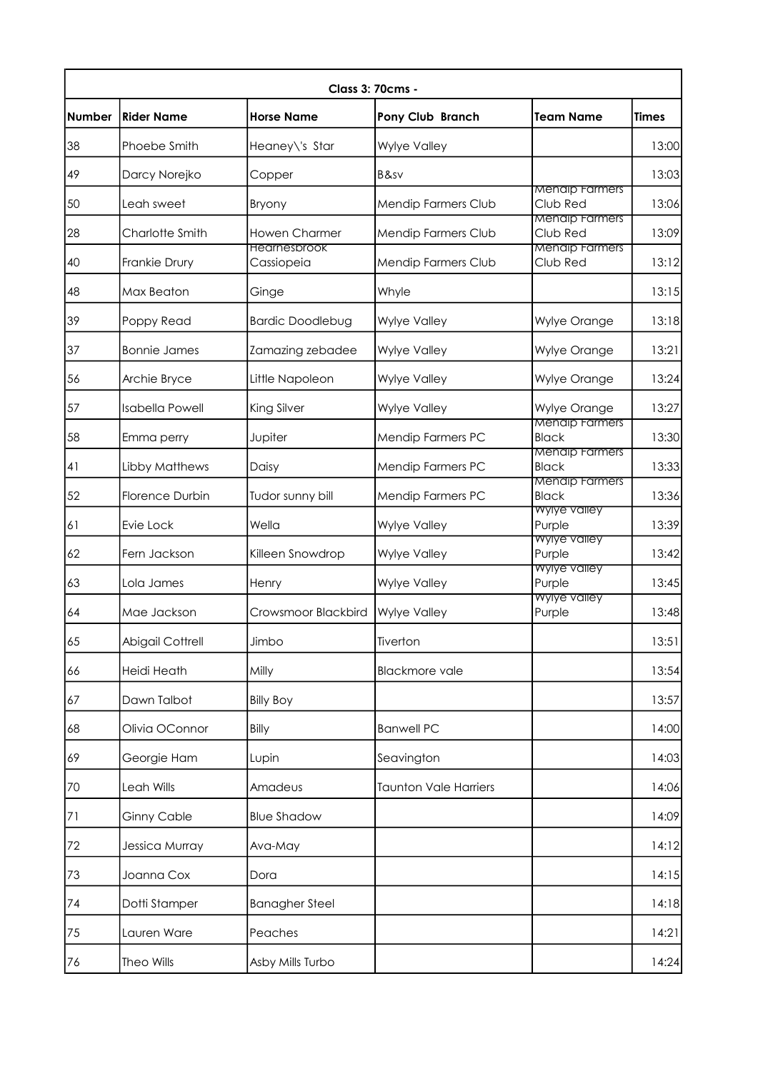| <b>Number</b> | <b>Rider Name</b>      | <b>Horse Name</b>       | <b>Pony Club Branch</b>      | <b>Team Name</b>                      | <b>Times</b> |
|---------------|------------------------|-------------------------|------------------------------|---------------------------------------|--------------|
| 38            | Phoebe Smith           | Heaney\'s Star          | <b>Wylye Valley</b>          |                                       | 13:00        |
| 49            | Darcy Norejko          | Copper                  | B&sv                         |                                       | 13:03        |
| 50            | Leah sweet             | Bryony                  | Mendip Farmers Club          | <b>Mendip Farmers</b><br>Club Red     | 13:06        |
| 28            | Charlotte Smith        | <b>Howen Charmer</b>    | Mendip Farmers Club          | <b>Menalp Farmers</b><br>Club Red     | 13:09        |
|               |                        | <b>Hearnesbrook</b>     |                              | <b>Mendip Farmers</b>                 |              |
| 40            | Frankie Drury          | Cassiopeia              | Mendip Farmers Club          | Club Red                              | 13:12        |
| 48            | Max Beaton             | Ginge                   | Whyle                        |                                       | 13:15        |
| 39            | Poppy Read             | <b>Bardic Doodlebug</b> | Wylye Valley                 | Wylye Orange                          | 13:18        |
| 37            | <b>Bonnie James</b>    | Zamazing zebadee        | Wylye Valley                 | Wylye Orange                          | 13:21        |
| 56            | Archie Bryce           | Little Napoleon         | Wylye Valley                 | Wylye Orange                          | 13:24        |
| 57            | <b>Isabella Powell</b> | King Silver             | <b>Wylye Valley</b>          | Wylye Orange                          | 13:27        |
| 58            | Emma perry             | Jupiter                 | Mendip Farmers PC            | <b>Mendip Farmers</b><br><b>Black</b> | 13:30        |
| 41            | Libby Matthews         | Daisy                   | Mendip Farmers PC            | <b>Mendip Farmers</b><br><b>Black</b> | 13:33        |
| 52            | Florence Durbin        | Tudor sunny bill        | Mendip Farmers PC            | <b>Mendip Farmers</b><br><b>Black</b> | 13:36        |
| 61            | Evie Lock              | Wella                   | Wylye Valley                 | Wylye valley<br>Purple                | 13:39        |
| 62            | Fern Jackson           | Killeen Snowdrop        | Wylye Valley                 | <b>Wylye valley</b><br>Purple         | 13:42        |
| 63            | Lola James             | Henry                   | Wylye Valley                 | <b>Wylye valley</b><br>Purple         | 13:45        |
| 64            | Mae Jackson            | Crowsmoor Blackbird     | <b>Wylye Valley</b>          | <b>Wylye valley</b><br>Purple         | 13:48        |
| 65            | Abigail Cottrell       | Jimbo                   | Tiverton                     |                                       | 13:51        |
| 66            | Heidi Heath            | Milly                   | <b>Blackmore vale</b>        |                                       | 13:54        |
| 67            | Dawn Talbot            | <b>Billy Boy</b>        |                              |                                       | 13:57        |
| 68            | Olivia OConnor         | Billy                   | <b>Banwell PC</b>            |                                       | 14:00        |
| 69            | Georgie Ham            | Lupin                   | Seavington                   |                                       | 14:03        |
| 70            | Leah Wills             | Amadeus                 | <b>Taunton Vale Harriers</b> |                                       | 14:06        |
| 71            | <b>Ginny Cable</b>     | <b>Blue Shadow</b>      |                              |                                       | 14:09        |
| $72\,$        | Jessica Murray         | Ava-May                 |                              |                                       | 14:12        |
| 73            | Joanna Cox             | Dora                    |                              |                                       | 14:15        |
| 74            | Dotti Stamper          | <b>Banagher Steel</b>   |                              |                                       | 14:18        |
| 75            | Lauren Ware            | Peaches                 |                              |                                       | 14:21        |
| 76            | Theo Wills             | Asby Mills Turbo        |                              |                                       | 14:24        |